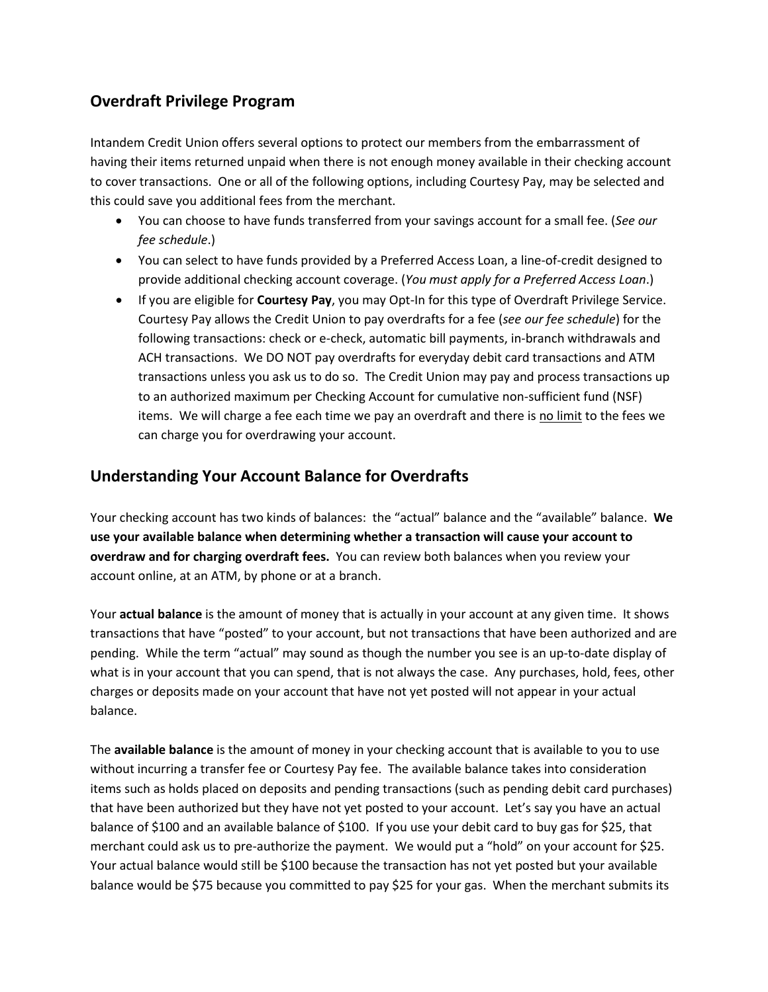## **Overdraft Privilege Program**

Intandem Credit Union offers several options to protect our members from the embarrassment of having their items returned unpaid when there is not enough money available in their checking account to cover transactions. One or all of the following options, including Courtesy Pay, may be selected and this could save you additional fees from the merchant.

- You can choose to have funds transferred from your savings account for a small fee. (*See our fee schedule*.)
- You can select to have funds provided by a Preferred Access Loan, a line-of-credit designed to provide additional checking account coverage. (*You must apply for a Preferred Access Loan*.)
- If you are eligible for **Courtesy Pay**, you may Opt-In for this type of Overdraft Privilege Service. Courtesy Pay allows the Credit Union to pay overdrafts for a fee (*see our fee schedule*) for the following transactions: check or e-check, automatic bill payments, in-branch withdrawals and ACH transactions. We DO NOT pay overdrafts for everyday debit card transactions and ATM transactions unless you ask us to do so. The Credit Union may pay and process transactions up to an authorized maximum per Checking Account for cumulative non-sufficient fund (NSF) items. We will charge a fee each time we pay an overdraft and there is no limit to the fees we can charge you for overdrawing your account.

## **Understanding Your Account Balance for Overdrafts**

Your checking account has two kinds of balances: the "actual" balance and the "available" balance. **We use your available balance when determining whether a transaction will cause your account to overdraw and for charging overdraft fees.** You can review both balances when you review your account online, at an ATM, by phone or at a branch.

Your **actual balance** is the amount of money that is actually in your account at any given time. It shows transactions that have "posted" to your account, but not transactions that have been authorized and are pending. While the term "actual" may sound as though the number you see is an up-to-date display of what is in your account that you can spend, that is not always the case. Any purchases, hold, fees, other charges or deposits made on your account that have not yet posted will not appear in your actual balance.

The **available balance** is the amount of money in your checking account that is available to you to use without incurring a transfer fee or Courtesy Pay fee. The available balance takes into consideration items such as holds placed on deposits and pending transactions (such as pending debit card purchases) that have been authorized but they have not yet posted to your account. Let's say you have an actual balance of \$100 and an available balance of \$100. If you use your debit card to buy gas for \$25, that merchant could ask us to pre-authorize the payment. We would put a "hold" on your account for \$25. Your actual balance would still be \$100 because the transaction has not yet posted but your available balance would be \$75 because you committed to pay \$25 for your gas. When the merchant submits its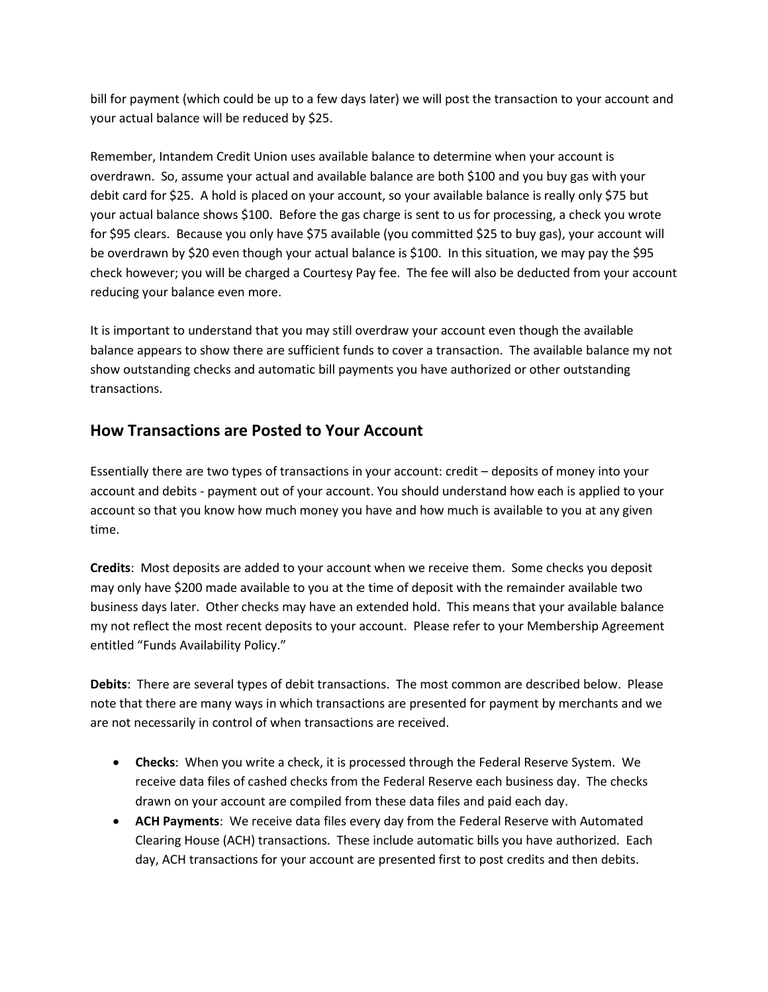bill for payment (which could be up to a few days later) we will post the transaction to your account and your actual balance will be reduced by \$25.

Remember, Intandem Credit Union uses available balance to determine when your account is overdrawn. So, assume your actual and available balance are both \$100 and you buy gas with your debit card for \$25. A hold is placed on your account, so your available balance is really only \$75 but your actual balance shows \$100. Before the gas charge is sent to us for processing, a check you wrote for \$95 clears. Because you only have \$75 available (you committed \$25 to buy gas), your account will be overdrawn by \$20 even though your actual balance is \$100. In this situation, we may pay the \$95 check however; you will be charged a Courtesy Pay fee. The fee will also be deducted from your account reducing your balance even more.

It is important to understand that you may still overdraw your account even though the available balance appears to show there are sufficient funds to cover a transaction. The available balance my not show outstanding checks and automatic bill payments you have authorized or other outstanding transactions.

## **How Transactions are Posted to Your Account**

Essentially there are two types of transactions in your account: credit – deposits of money into your account and debits - payment out of your account. You should understand how each is applied to your account so that you know how much money you have and how much is available to you at any given time.

**Credits**: Most deposits are added to your account when we receive them. Some checks you deposit may only have \$200 made available to you at the time of deposit with the remainder available two business days later. Other checks may have an extended hold. This means that your available balance my not reflect the most recent deposits to your account. Please refer to your Membership Agreement entitled "Funds Availability Policy."

**Debits**: There are several types of debit transactions. The most common are described below. Please note that there are many ways in which transactions are presented for payment by merchants and we are not necessarily in control of when transactions are received.

- **Checks**: When you write a check, it is processed through the Federal Reserve System. We receive data files of cashed checks from the Federal Reserve each business day. The checks drawn on your account are compiled from these data files and paid each day.
- **ACH Payments**: We receive data files every day from the Federal Reserve with Automated Clearing House (ACH) transactions. These include automatic bills you have authorized. Each day, ACH transactions for your account are presented first to post credits and then debits.